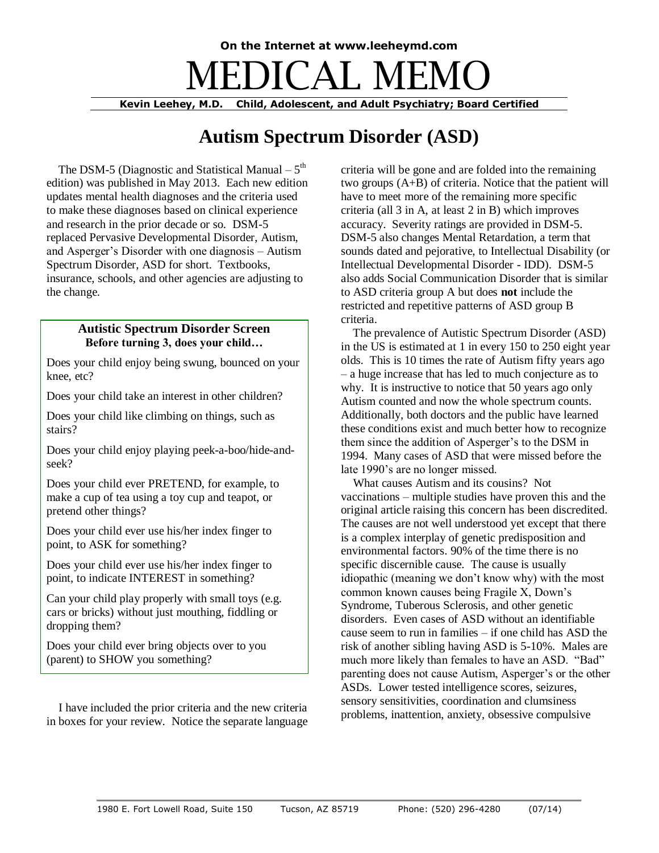# **On the Internet at www.leeheymd.com** DICAL ME

**Kevin Leehey, M.D. Child, Adolescent, and Adult Psychiatry; Board Certified**

# **Autism Spectrum Disorder (ASD)**

The DSM-5 (Diagnostic and Statistical Manual  $-5<sup>th</sup>$ edition) was published in May 2013. Each new edition updates mental health diagnoses and the criteria used to make these diagnoses based on clinical experience and research in the prior decade or so. DSM-5 replaced Pervasive Developmental Disorder, Autism, and Asperger's Disorder with one diagnosis – Autism Spectrum Disorder, ASD for short. Textbooks, insurance, schools, and other agencies are adjusting to the change.

# **Autistic Spectrum Disorder Screen Before turning 3, does your child…**

Does your child enjoy being swung, bounced on your knee, etc?

Does your child take an interest in other children?

Does your child like climbing on things, such as stairs?

Does your child enjoy playing peek-a-boo/hide-andseek?

Does your child ever PRETEND, for example, to make a cup of tea using a toy cup and teapot, or pretend other things?

Does your child ever use his/her index finger to point, to ASK for something?

Does your child ever use his/her index finger to point, to indicate INTEREST in something?

Can your child play properly with small toys (e.g. cars or bricks) without just mouthing, fiddling or dropping them?

Does your child ever bring objects over to you (parent) to SHOW you something?

 I have included the prior criteria and the new criteria in boxes for your review. Notice the separate language criteria will be gone and are folded into the remaining two groups (A+B) of criteria. Notice that the patient will have to meet more of the remaining more specific criteria (all 3 in A, at least 2 in B) which improves accuracy. Severity ratings are provided in DSM-5. DSM-5 also changes Mental Retardation, a term that sounds dated and pejorative, to Intellectual Disability (or Intellectual Developmental Disorder - IDD). DSM-5 also adds Social Communication Disorder that is similar to ASD criteria group A but does **not** include the restricted and repetitive patterns of ASD group B criteria.

 The prevalence of Autistic Spectrum Disorder (ASD) in the US is estimated at 1 in every 150 to 250 eight year olds. This is 10 times the rate of Autism fifty years ago – a huge increase that has led to much conjecture as to why. It is instructive to notice that 50 years ago only Autism counted and now the whole spectrum counts. Additionally, both doctors and the public have learned these conditions exist and much better how to recognize them since the addition of Asperger's to the DSM in 1994. Many cases of ASD that were missed before the late 1990's are no longer missed.

 What causes Autism and its cousins? Not vaccinations – multiple studies have proven this and the original article raising this concern has been discredited. The causes are not well understood yet except that there is a complex interplay of genetic predisposition and environmental factors. 90% of the time there is no specific discernible cause. The cause is usually idiopathic (meaning we don't know why) with the most common known causes being Fragile X, Down's Syndrome, Tuberous Sclerosis, and other genetic disorders. Even cases of ASD without an identifiable cause seem to run in families – if one child has ASD the risk of another sibling having ASD is 5-10%. Males are much more likely than females to have an ASD. "Bad" parenting does not cause Autism, Asperger's or the other ASDs. Lower tested intelligence scores, seizures, sensory sensitivities, coordination and clumsiness problems, inattention, anxiety, obsessive compulsive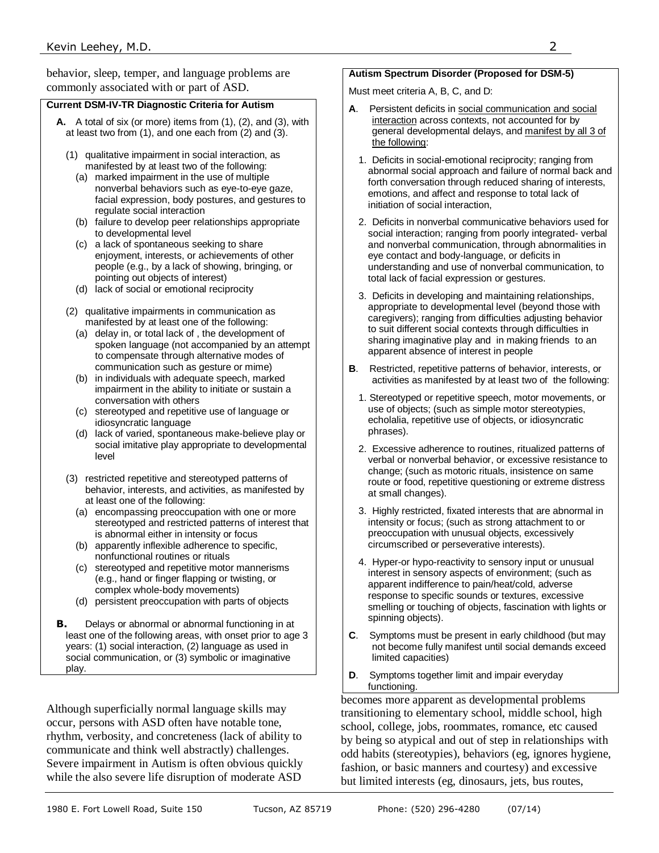behavior, sleep, temper, and language problems are commonly associated with or part of ASD.

#### **Current DSM-IV-TR Diagnostic Criteria for Autism**

- **A.** A total of six (or more) items from (1), (2), and (3), with at least two from (1), and one each from (2) and (3).
	- (1) qualitative impairment in social interaction, as manifested by at least two of the following:
		- (a) marked impairment in the use of multiple nonverbal behaviors such as eye-to-eye gaze, facial expression, body postures, and gestures to regulate social interaction
		- (b) failure to develop peer relationships appropriate to developmental level
		- (c) a lack of spontaneous seeking to share enjoyment, interests, or achievements of other people (e.g., by a lack of showing, bringing, or pointing out objects of interest)
		- (d) lack of social or emotional reciprocity
	- (2) qualitative impairments in communication as manifested by at least one of the following:
		- (a) delay in, or total lack of , the development of spoken language (not accompanied by an attempt to compensate through alternative modes of communication such as gesture or mime)
		- (b) in individuals with adequate speech, marked impairment in the ability to initiate or sustain a conversation with others
		- (c) stereotyped and repetitive use of language or idiosyncratic language
		- (d) lack of varied, spontaneous make-believe play or social imitative play appropriate to developmental level
	- (3) restricted repetitive and stereotyped patterns of behavior, interests, and activities, as manifested by at least one of the following:
		- (a) encompassing preoccupation with one or more stereotyped and restricted patterns of interest that is abnormal either in intensity or focus
		- (b) apparently inflexible adherence to specific, nonfunctional routines or rituals
		- (c) stereotyped and repetitive motor mannerisms (e.g., hand or finger flapping or twisting, or complex whole-body movements)
		- (d) persistent preoccupation with parts of objects
- **B.** Delays or abnormal or abnormal functioning in at least one of the following areas, with onset prior to age 3 years: (1) social interaction, (2) language as used in social communication, or (3) symbolic or imaginative play.

Although superficially normal language skills may occur, persons with ASD often have notable tone, rhythm, verbosity, and concreteness (lack of ability to communicate and think well abstractly) challenges. Severe impairment in Autism is often obvious quickly while the also severe life disruption of moderate ASD

### **Autism Spectrum Disorder (Proposed for DSM-5)**

Must meet criteria A, B, C, and D:

- **A**. Persistent deficits in social communication and social interaction across contexts, not accounted for by general developmental delays, and manifest by all 3 of the following:
	- 1. Deficits in social-emotional reciprocity; ranging from abnormal social approach and failure of normal back and forth conversation through reduced sharing of interests, emotions, and affect and response to total lack of initiation of social interaction,
	- 2. Deficits in nonverbal communicative behaviors used for social interaction; ranging from poorly integrated- verbal and nonverbal communication, through abnormalities in eye contact and body-language, or deficits in understanding and use of nonverbal communication, to total lack of facial expression or gestures.
	- 3. Deficits in developing and maintaining relationships, appropriate to developmental level (beyond those with caregivers); ranging from difficulties adjusting behavior to suit different social contexts through difficulties in sharing imaginative play and in making friends to an apparent absence of interest in people
- **B**. Restricted, repetitive patterns of behavior, interests, or activities as manifested by at least two of the following:
	- 1. Stereotyped or repetitive speech, motor movements, or use of objects; (such as simple motor stereotypies, echolalia, repetitive use of objects, or idiosyncratic phrases).
	- 2. Excessive adherence to routines, ritualized patterns of verbal or nonverbal behavior, or excessive resistance to change; (such as motoric rituals, insistence on same route or food, repetitive questioning or extreme distress at small changes).
	- 3. Highly restricted, fixated interests that are abnormal in intensity or focus; (such as strong attachment to or preoccupation with unusual objects, excessively circumscribed or perseverative interests).
	- 4. Hyper-or hypo-reactivity to sensory input or unusual interest in sensory aspects of environment; (such as apparent indifference to pain/heat/cold, adverse response to specific sounds or textures, excessive smelling or touching of objects, fascination with lights or spinning objects).
- **C**. Symptoms must be present in early childhood (but may not become fully manifest until social demands exceed limited capacities)
- **D**. Symptoms together limit and impair everyday functioning.

becomes more apparent as developmental problems transitioning to elementary school, middle school, high school, college, jobs, roommates, romance, etc caused by being so atypical and out of step in relationships with odd habits (stereotypies), behaviors (eg, ignores hygiene, fashion, or basic manners and courtesy) and excessive but limited interests (eg, dinosaurs, jets, bus routes,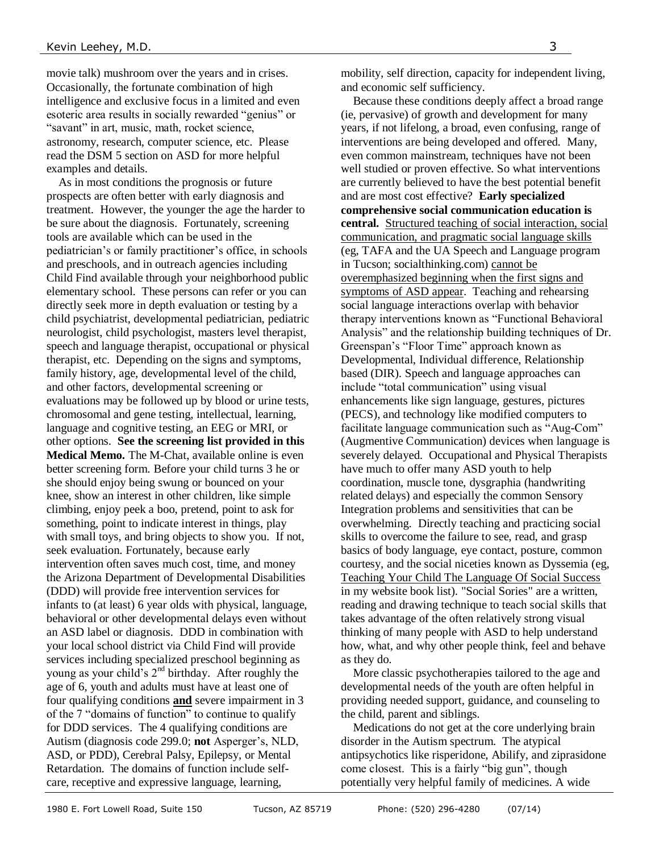movie talk) mushroom over the years and in crises. Occasionally, the fortunate combination of high intelligence and exclusive focus in a limited and even esoteric area results in socially rewarded "genius" or "savant" in art, music, math, rocket science, astronomy, research, computer science, etc. Please read the DSM 5 section on ASD for more helpful examples and details.

 As in most conditions the prognosis or future prospects are often better with early diagnosis and treatment. However, the younger the age the harder to be sure about the diagnosis. Fortunately, screening tools are available which can be used in the pediatrician's or family practitioner's office, in schools and preschools, and in outreach agencies including Child Find available through your neighborhood public elementary school. These persons can refer or you can directly seek more in depth evaluation or testing by a child psychiatrist, developmental pediatrician, pediatric neurologist, child psychologist, masters level therapist, speech and language therapist, occupational or physical therapist, etc. Depending on the signs and symptoms, family history, age, developmental level of the child, and other factors, developmental screening or evaluations may be followed up by blood or urine tests, chromosomal and gene testing, intellectual, learning, language and cognitive testing, an EEG or MRI, or other options. **See the screening list provided in this Medical Memo.** The M-Chat, available online is even better screening form. Before your child turns 3 he or she should enjoy being swung or bounced on your knee, show an interest in other children, like simple climbing, enjoy peek a boo, pretend, point to ask for something, point to indicate interest in things, play with small toys, and bring objects to show you. If not, seek evaluation. Fortunately, because early intervention often saves much cost, time, and money the Arizona Department of Developmental Disabilities (DDD) will provide free intervention services for infants to (at least) 6 year olds with physical, language, behavioral or other developmental delays even without an ASD label or diagnosis. DDD in combination with your local school district via Child Find will provide services including specialized preschool beginning as young as your child's  $2<sup>nd</sup>$  birthday. After roughly the age of 6, youth and adults must have at least one of four qualifying conditions **and** severe impairment in 3 of the 7 "domains of function" to continue to qualify for DDD services. The 4 qualifying conditions are Autism (diagnosis code 299.0; **not** Asperger's, NLD, ASD, or PDD), Cerebral Palsy, Epilepsy, or Mental Retardation. The domains of function include selfcare, receptive and expressive language, learning,

mobility, self direction, capacity for independent living, and economic self sufficiency.

 Because these conditions deeply affect a broad range (ie, pervasive) of growth and development for many years, if not lifelong, a broad, even confusing, range of interventions are being developed and offered. Many, even common mainstream, techniques have not been well studied or proven effective. So what interventions are currently believed to have the best potential benefit and are most cost effective? **Early specialized comprehensive social communication education is central.** Structured teaching of social interaction, social communication, and pragmatic social language skills (eg, TAFA and the UA Speech and Language program in Tucson; socialthinking.com) cannot be overemphasized beginning when the first signs and symptoms of ASD appear. Teaching and rehearsing social language interactions overlap with behavior therapy interventions known as "Functional Behavioral Analysis" and the relationship building techniques of Dr. Greenspan's "Floor Time" approach known as Developmental, Individual difference, Relationship based (DIR). Speech and language approaches can include "total communication" using visual enhancements like sign language, gestures, pictures (PECS), and technology like modified computers to facilitate language communication such as "Aug-Com" (Augmentive Communication) devices when language is severely delayed. Occupational and Physical Therapists have much to offer many ASD youth to help coordination, muscle tone, dysgraphia (handwriting related delays) and especially the common Sensory Integration problems and sensitivities that can be overwhelming. Directly teaching and practicing social skills to overcome the failure to see, read, and grasp basics of body language, eye contact, posture, common courtesy, and the social niceties known as Dyssemia (eg, Teaching Your Child The Language Of Social Success in my website book list). "Social Sories" are a written, reading and drawing technique to teach social skills that takes advantage of the often relatively strong visual thinking of many people with ASD to help understand how, what, and why other people think, feel and behave as they do.

 More classic psychotherapies tailored to the age and developmental needs of the youth are often helpful in providing needed support, guidance, and counseling to the child, parent and siblings.

 Medications do not get at the core underlying brain disorder in the Autism spectrum. The atypical antipsychotics like risperidone, Abilify, and ziprasidone come closest. This is a fairly "big gun", though potentially very helpful family of medicines. A wide